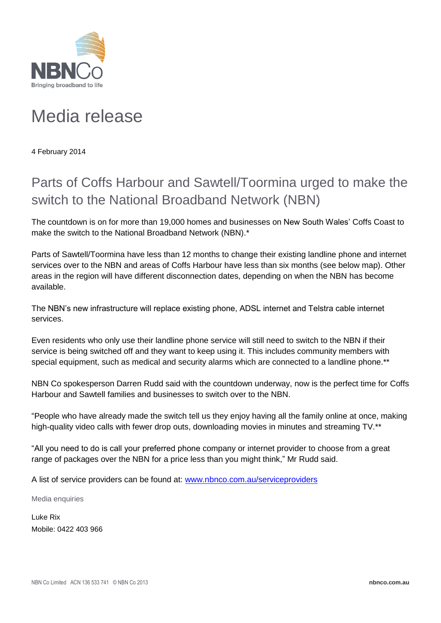

## Media release

4 February 2014

## Parts of Coffs Harbour and Sawtell/Toormina urged to make the switch to the National Broadband Network (NBN)

The countdown is on for more than 19,000 homes and businesses on New South Wales' Coffs Coast to make the switch to the National Broadband Network (NBN).\*

Parts of Sawtell/Toormina have less than 12 months to change their existing landline phone and internet services over to the NBN and areas of Coffs Harbour have less than six months (see below map). Other areas in the region will have different disconnection dates, depending on when the NBN has become available.

The NBN's new infrastructure will replace existing phone, ADSL internet and Telstra cable internet services.

Even residents who only use their landline phone service will still need to switch to the NBN if their service is being switched off and they want to keep using it. This includes community members with special equipment, such as medical and security alarms which are connected to a landline phone.\*\*

NBN Co spokesperson Darren Rudd said with the countdown underway, now is the perfect time for Coffs Harbour and Sawtell families and businesses to switch over to the NBN.

"People who have already made the switch tell us they enjoy having all the family online at once, making high-quality video calls with fewer drop outs, downloading movies in minutes and streaming TV.<sup>\*\*</sup>

"All you need to do is call your preferred phone company or internet provider to choose from a great range of packages over the NBN for a price less than you might think," Mr Rudd said.

A list of service providers can be found at: [www.nbnco.com.au/serviceproviders](http://www.nbnco.com.au/serviceproviders)

Media enquiries

Luke Rix Mobile: 0422 403 966